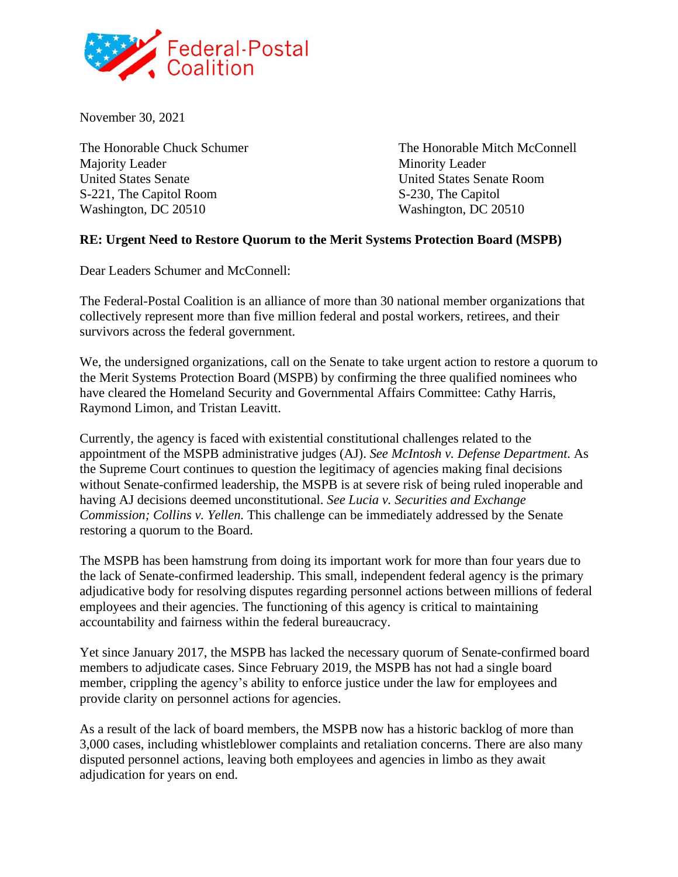

November 30, 2021

Majority Leader Minority Leader United States Senate United States Senate Room S-221, The Capitol Room S-230, The Capitol Washington, DC 20510 Washington, DC 20510

The Honorable Chuck Schumer The Honorable Mitch McConnell

## **RE: Urgent Need to Restore Quorum to the Merit Systems Protection Board (MSPB)**

Dear Leaders Schumer and McConnell:

The Federal-Postal Coalition is an alliance of more than 30 national member organizations that collectively represent more than five million federal and postal workers, retirees, and their survivors across the federal government.

We, the undersigned organizations, call on the Senate to take urgent action to restore a quorum to the Merit Systems Protection Board (MSPB) by confirming the three qualified nominees who have cleared the Homeland Security and Governmental Affairs Committee: Cathy Harris, Raymond Limon, and Tristan Leavitt.

Currently, the agency is faced with existential constitutional challenges related to the appointment of the MSPB administrative judges (AJ). *See McIntosh v. Defense Department*. As the Supreme Court continues to question the legitimacy of agencies making final decisions without Senate-confirmed leadership, the MSPB is at severe risk of being ruled inoperable and having AJ decisions deemed unconstitutional. *See Lucia v. Securities and Exchange Commission; Collins v. Yellen.* This challenge can be immediately addressed by the Senate restoring a quorum to the Board.

The MSPB has been hamstrung from doing its important work for more than four years due to the lack of Senate-confirmed leadership. This small, independent federal agency is the primary adjudicative body for resolving disputes regarding personnel actions between millions of federal employees and their agencies. The functioning of this agency is critical to maintaining accountability and fairness within the federal bureaucracy.

Yet since January 2017, the MSPB has lacked the necessary quorum of Senate-confirmed board members to adjudicate cases. Since February 2019, the MSPB has not had a single board member, crippling the agency's ability to enforce justice under the law for employees and provide clarity on personnel actions for agencies.

As a result of the lack of board members, the MSPB now has a historic backlog of more than 3,000 cases, including whistleblower complaints and retaliation concerns. There are also many disputed personnel actions, leaving both employees and agencies in limbo as they await adjudication for years on end.